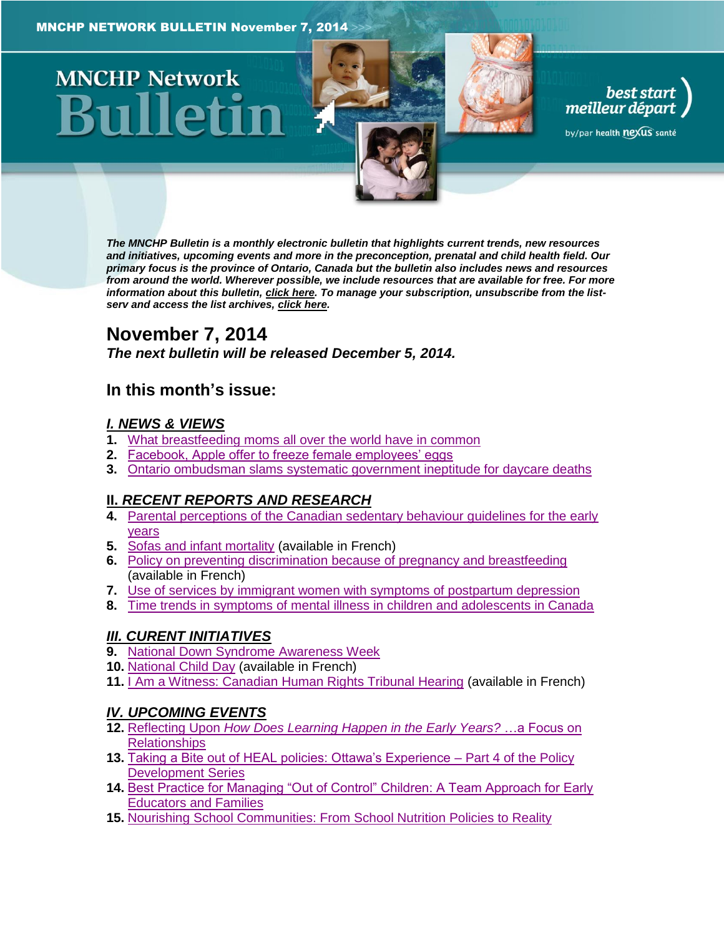# **MNCHP Network**

*The MNCHP Bulletin is a monthly electronic bulletin that highlights current trends, new resources and initiatives, upcoming events and more in the preconception, prenatal and child health field. Our primary focus is the province of Ontario, Canada but the bulletin also includes news and resources from around the world. Wherever possible, we include resources that are available for free. For more information about this bulletin[, click here.](#page-15-0) To manage your subscription, unsubscribe from the listserv and access the list archives, [click here.](http://beststart.org/services/information.html)* 

best start<br>meilleur départ

by/par health nexus santé

# **November 7, 2014**

*The next bulletin will be released December 5, 2014.*

# **In this month's issue:**

#### *[I. NEWS & VIEWS](#page-1-0)*

- **1.** [What breastfeeding moms all over the world have in common](#page-1-1)
- **2.** [Facebook, Apple offer to freeze female employees' eggs](#page-2-0)
- **3.** Ontario ombudsman slams [systematic government ineptitude for daycare deaths](#page-3-0)

# **II.** *[RECENT REPORTS AND RESEARCH](#page-3-1)*

- **4.** [Parental perceptions of the Canadian sedentary behaviour guidelines for the early](#page-4-0)  **vears**
- **5.** [Sofas and infant mortality](#page-4-1) (available in French)
- **6.** [Policy on preventing discrimination because of pregnancy and breastfeeding](#page-5-0) (available in French)
- **7.** [Use of services by immigrant women with symptoms of postpartum depression](#page-6-0)
- **8.** [Time trends in symptoms of mental illness in children and adolescents in Canada](#page-7-0)

# *[III. CURENT INITIATIVES](#page-7-1)*

- **9.** [National Down Syndrome Awareness Week](#page-7-2)
- **10.** [National Child Day](#page-8-0) (available in French)
- **11.** [I Am a Witness: Canadian Human Rights Tribunal Hearing](#page-9-0) (available in French)

# *[IV. UPCOMING EVENTS](#page-9-1)*

- **12.** Reflecting Upon *[How Does Learning Happen in the Early Years?](#page-9-2)* …a Focus on **[Relationships](#page-9-2)**
- **13.** [Taking a Bite out of HEAL policies: Ottawa's Experience –](#page-9-3) Part 4 of the Policy [Development Series](#page-9-3)
- **14.** [Best Practice for Managing "Out of Control" Children: A Team Approach for Early](#page-10-0)  [Educators and Families](#page-10-0)
- **15.** [Nourishing School Communities: From School Nutrition Policies to Reality](#page-10-1)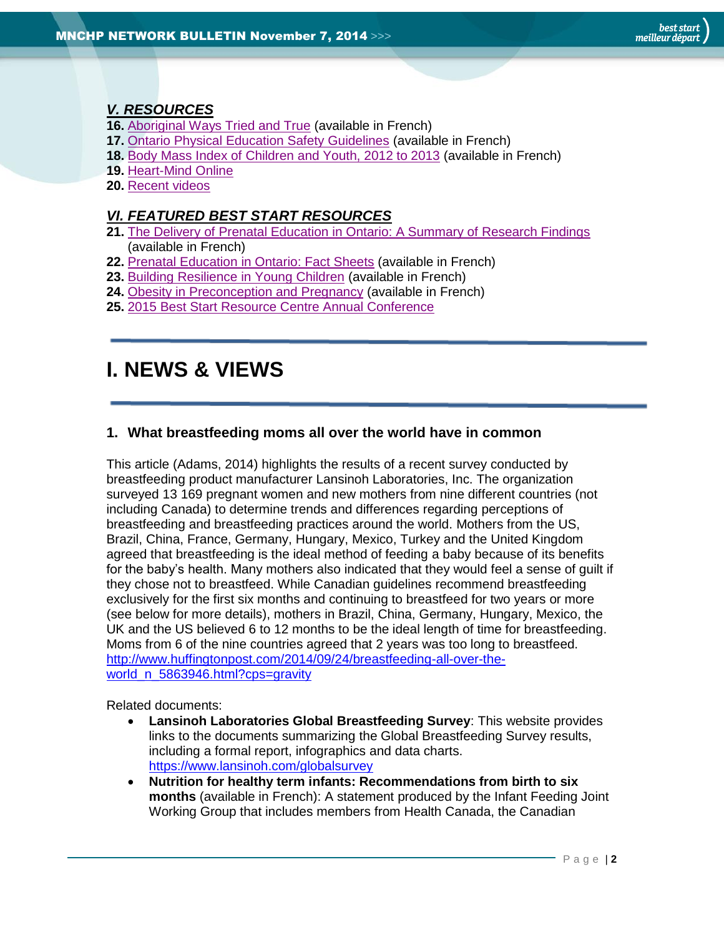# *[V. RESOURCES](#page-10-2)*

- **16.** [Aboriginal Ways Tried and True](#page-10-3) (available in French)
- **17.** [Ontario Physical Education Safety Guidelines](#page-11-0) (available in French)
- **18.** [Body Mass Index of Children and Youth, 2012 to 2013](#page-11-1) (available in French)
- **19.** [Heart-Mind Online](#page-11-2)
- **20.** [Recent videos](#page-12-0)

#### *[VI. FEATURED BEST START RESOURCES](#page-12-1)*

- **21.** [The Delivery of Prenatal Education in Ontario: A Summary of Research Findings](#page-12-2) (available in French)
- **22.** [Prenatal Education in Ontario: Fact Sheets](#page-13-0) (available in French)
- **23.** [Building Resilience in Young Children](#page-13-1) (available in French)
- **24.** [Obesity in Preconception and Pregnancy](#page-14-0) (available in French)
- **25.** [2015 Best Start Resource Centre Annual Conference](#page-14-1)

# <span id="page-1-0"></span>**I. NEWS & VIEWS**

#### <span id="page-1-1"></span>**1. What breastfeeding moms all over the world have in common**

This article (Adams, 2014) highlights the results of a recent survey conducted by breastfeeding product manufacturer Lansinoh Laboratories, Inc. The organization surveyed 13 169 pregnant women and new mothers from nine different countries (not including Canada) to determine trends and differences regarding perceptions of breastfeeding and breastfeeding practices around the world. Mothers from the US, Brazil, China, France, Germany, Hungary, Mexico, Turkey and the United Kingdom agreed that breastfeeding is the ideal method of feeding a baby because of its benefits for the baby's health. Many mothers also indicated that they would feel a sense of guilt if they chose not to breastfeed. While Canadian guidelines recommend breastfeeding exclusively for the first six months and continuing to breastfeed for two years or more (see below for more details), mothers in Brazil, China, Germany, Hungary, Mexico, the UK and the US believed 6 to 12 months to be the ideal length of time for breastfeeding. Moms from 6 of the nine countries agreed that 2 years was too long to breastfeed. [http://www.huffingtonpost.com/2014/09/24/breastfeeding-all-over-the](http://www.huffingtonpost.com/2014/09/24/breastfeeding-all-over-the-world_n_5863946.html?cps=gravity)[world\\_n\\_5863946.html?cps=gravity](http://www.huffingtonpost.com/2014/09/24/breastfeeding-all-over-the-world_n_5863946.html?cps=gravity)

Related documents:

- **Lansinoh Laboratories Global Breastfeeding Survey**: This website provides links to the documents summarizing the Global Breastfeeding Survey results, including a formal report, infographics and data charts. <https://www.lansinoh.com/globalsurvey>
- **Nutrition for healthy term infants: Recommendations from birth to six months** (available in French): A statement produced by the Infant Feeding Joint Working Group that includes members from Health Canada, the Canadian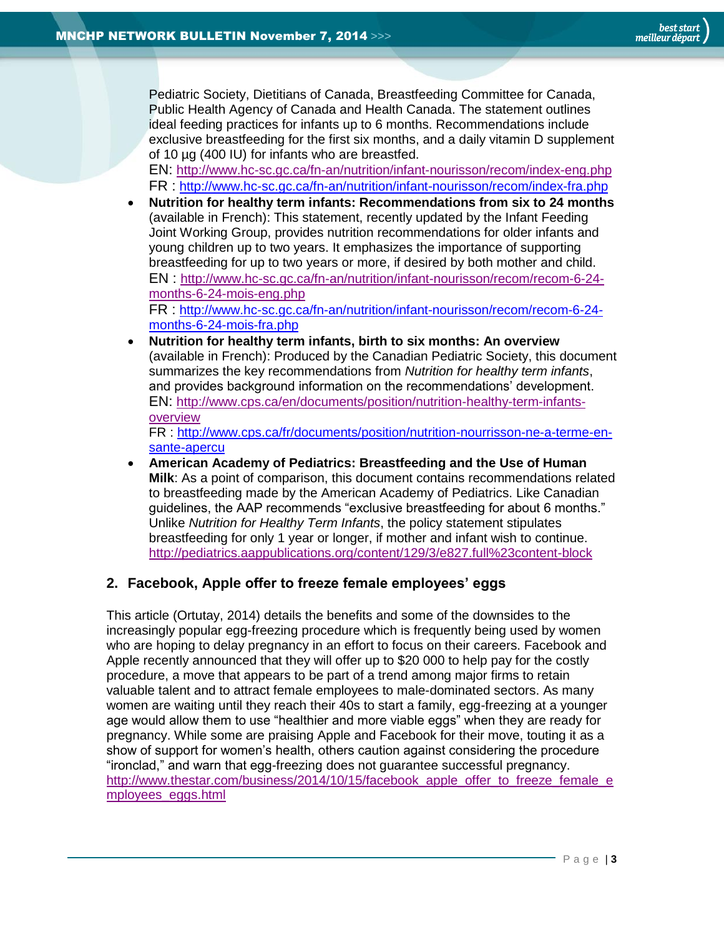Pediatric Society, Dietitians of Canada, Breastfeeding Committee for Canada, Public Health Agency of Canada and Health Canada. The statement outlines ideal feeding practices for infants up to 6 months. Recommendations include exclusive breastfeeding for the first six months, and a daily vitamin D supplement of 10 µg (400 IU) for infants who are breastfed.

EN: <http://www.hc-sc.gc.ca/fn-an/nutrition/infant-nourisson/recom/index-eng.php> FR : <http://www.hc-sc.gc.ca/fn-an/nutrition/infant-nourisson/recom/index-fra.php>

 **Nutrition for healthy term infants: Recommendations from six to 24 months** (available in French): This statement, recently updated by the Infant Feeding Joint Working Group, provides nutrition recommendations for older infants and young children up to two years. It emphasizes the importance of supporting breastfeeding for up to two years or more, if desired by both mother and child. EN : [http://www.hc-sc.gc.ca/fn-an/nutrition/infant-nourisson/recom/recom-6-24](http://www.hc-sc.gc.ca/fn-an/nutrition/infant-nourisson/recom/recom-6-24-months-6-24-mois-eng.php) [months-6-24-mois-eng.php](http://www.hc-sc.gc.ca/fn-an/nutrition/infant-nourisson/recom/recom-6-24-months-6-24-mois-eng.php) FR : [http://www.hc-sc.gc.ca/fn-an/nutrition/infant-nourisson/recom/recom-6-24-](http://www.hc-sc.gc.ca/fn-an/nutrition/infant-nourisson/recom/recom-6-24-months-6-24-mois-fra.php)

[months-6-24-mois-fra.php](http://www.hc-sc.gc.ca/fn-an/nutrition/infant-nourisson/recom/recom-6-24-months-6-24-mois-fra.php)

 **Nutrition for healthy term infants, birth to six months: An overview** (available in French): Produced by the Canadian Pediatric Society, this document summarizes the key recommendations from *Nutrition for healthy term infants*, and provides background information on the recommendations' development. EN: [http://www.cps.ca/en/documents/position/nutrition-healthy-term-infants](http://www.cps.ca/en/documents/position/nutrition-healthy-term-infants-overview)[overview](http://www.cps.ca/en/documents/position/nutrition-healthy-term-infants-overview)

FR : [http://www.cps.ca/fr/documents/position/nutrition-nourrisson-ne-a-terme-en](http://www.cps.ca/fr/documents/position/nutrition-nourrisson-ne-a-terme-en-sante-apercu)[sante-apercu](http://www.cps.ca/fr/documents/position/nutrition-nourrisson-ne-a-terme-en-sante-apercu)

 **American Academy of Pediatrics: Breastfeeding and the Use of Human Milk**: As a point of comparison, this document contains recommendations related to breastfeeding made by the American Academy of Pediatrics. Like Canadian guidelines, the AAP recommends "exclusive breastfeeding for about 6 months." Unlike *Nutrition for Healthy Term Infants*, the policy statement stipulates breastfeeding for only 1 year or longer, if mother and infant wish to continue. <http://pediatrics.aappublications.org/content/129/3/e827.full%23content-block>

# <span id="page-2-0"></span>**2. Facebook, Apple offer to freeze female employees' eggs**

This article (Ortutay, 2014) details the benefits and some of the downsides to the increasingly popular egg-freezing procedure which is frequently being used by women who are hoping to delay pregnancy in an effort to focus on their careers. Facebook and Apple recently announced that they will offer up to \$20 000 to help pay for the costly procedure, a move that appears to be part of a trend among major firms to retain valuable talent and to attract female employees to male-dominated sectors. As many women are waiting until they reach their 40s to start a family, egg-freezing at a younger age would allow them to use "healthier and more viable eggs" when they are ready for pregnancy. While some are praising Apple and Facebook for their move, touting it as a show of support for women's health, others caution against considering the procedure "ironclad," and warn that egg-freezing does not guarantee successful pregnancy. [http://www.thestar.com/business/2014/10/15/facebook\\_apple\\_offer\\_to\\_freeze\\_female\\_e](http://www.thestar.com/business/2014/10/15/facebook_apple_offer_to_freeze_female_employees_eggs.html) [mployees\\_eggs.html](http://www.thestar.com/business/2014/10/15/facebook_apple_offer_to_freeze_female_employees_eggs.html)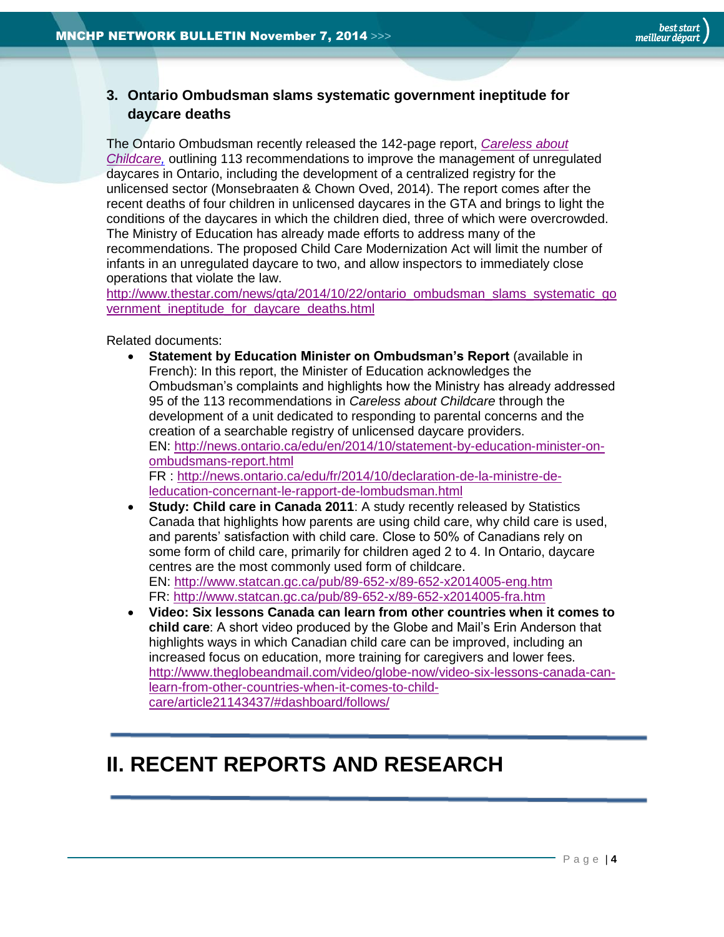<span id="page-3-0"></span>**3. Ontario Ombudsman slams systematic government ineptitude for daycare deaths**

The Ontario Ombudsman recently released the 142-page report, *[Careless about](https://ombudsman.on.ca/Investigations/SORT-Investigations/In-Progress/Monitoring-of-unlicensed-daycares.aspx)  [Childcare,](https://ombudsman.on.ca/Investigations/SORT-Investigations/In-Progress/Monitoring-of-unlicensed-daycares.aspx)* outlining 113 recommendations to improve the management of unregulated daycares in Ontario, including the development of a centralized registry for the unlicensed sector (Monsebraaten & Chown Oved, 2014). The report comes after the recent deaths of four children in unlicensed daycares in the GTA and brings to light the conditions of the daycares in which the children died, three of which were overcrowded. The Ministry of Education has already made efforts to address many of the recommendations. The proposed Child Care Modernization Act will limit the number of infants in an unregulated daycare to two, and allow inspectors to immediately close operations that violate the law.

[http://www.thestar.com/news/gta/2014/10/22/ontario\\_ombudsman\\_slams\\_systematic\\_go](http://www.thestar.com/news/gta/2014/10/22/ontario_ombudsman_slams_systematic_government_ineptitude_for_daycare_deaths.html) vernment ineptitude for daycare deaths.html

Related documents:

- **Statement by Education Minister on Ombudsman's Report** (available in French): In this report, the Minister of Education acknowledges the Ombudsman's complaints and highlights how the Ministry has already addressed 95 of the 113 recommendations in *Careless about Childcare* through the development of a unit dedicated to responding to parental concerns and the creation of a searchable registry of unlicensed daycare providers. EN: [http://news.ontario.ca/edu/en/2014/10/statement-by-education-minister-on](http://news.ontario.ca/edu/en/2014/10/statement-by-education-minister-on-ombudsmans-report.html)[ombudsmans-report.html](http://news.ontario.ca/edu/en/2014/10/statement-by-education-minister-on-ombudsmans-report.html) FR : [http://news.ontario.ca/edu/fr/2014/10/declaration-de-la-ministre-de](http://news.ontario.ca/edu/fr/2014/10/declaration-de-la-ministre-de-leducation-concernant-le-rapport-de-lombudsman.html)[leducation-concernant-le-rapport-de-lombudsman.html](http://news.ontario.ca/edu/fr/2014/10/declaration-de-la-ministre-de-leducation-concernant-le-rapport-de-lombudsman.html)
- **Study: Child care in Canada 2011**: A study recently released by Statistics Canada that highlights how parents are using child care, why child care is used, and parents' satisfaction with child care. Close to 50% of Canadians rely on some form of child care, primarily for children aged 2 to 4. In Ontario, daycare centres are the most commonly used form of childcare. EN:<http://www.statcan.gc.ca/pub/89-652-x/89-652-x2014005-eng.htm> FR:<http://www.statcan.gc.ca/pub/89-652-x/89-652-x2014005-fra.htm>
- **Video: Six lessons Canada can learn from other countries when it comes to child care**: A short video produced by the Globe and Mail's Erin Anderson that highlights ways in which Canadian child care can be improved, including an increased focus on education, more training for caregivers and lower fees. [http://www.theglobeandmail.com/video/globe-now/video-six-lessons-canada-can](http://www.theglobeandmail.com/video/globe-now/video-six-lessons-canada-can-learn-from-other-countries-when-it-comes-to-child-care/article21143437/#dashboard/follows/)[learn-from-other-countries-when-it-comes-to-child](http://www.theglobeandmail.com/video/globe-now/video-six-lessons-canada-can-learn-from-other-countries-when-it-comes-to-child-care/article21143437/#dashboard/follows/)[care/article21143437/#dashboard/follows/](http://www.theglobeandmail.com/video/globe-now/video-six-lessons-canada-can-learn-from-other-countries-when-it-comes-to-child-care/article21143437/#dashboard/follows/)

# <span id="page-3-1"></span>**II. RECENT REPORTS AND RESEARCH**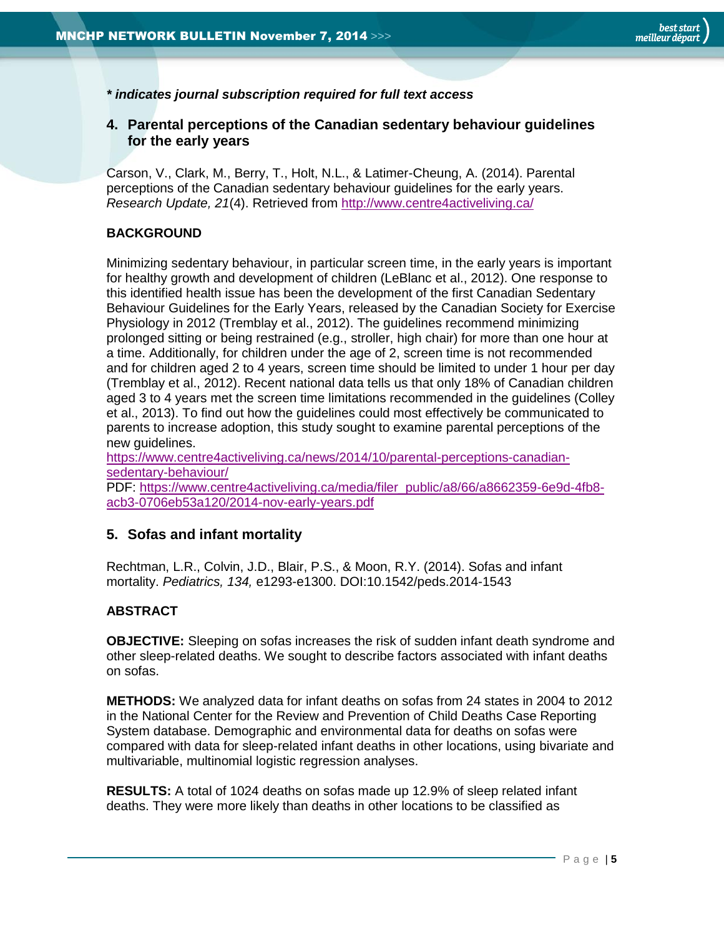*\* indicates journal subscription required for full text access*

#### <span id="page-4-0"></span>**4. Parental perceptions of the Canadian sedentary behaviour guidelines for the early years**

Carson, V., Clark, M., Berry, T., Holt, N.L., & Latimer-Cheung, A. (2014). Parental perceptions of the Canadian sedentary behaviour guidelines for the early years. *Research Update, 21*(4). Retrieved from [http://www.centre4activeliving.ca/](http://www.centre4activeliving.ca/media/filer_public/a8/66/a8662359-6e9d-4fb8-acb3-0706eb53a120/2014-nov-early-years.pdf)

#### **BACKGROUND**

Minimizing sedentary behaviour, in particular screen time, in the early years is important for healthy growth and development of children (LeBlanc et al., 2012). One response to this identified health issue has been the development of the first Canadian Sedentary Behaviour Guidelines for the Early Years, released by the Canadian Society for Exercise Physiology in 2012 (Tremblay et al., 2012). The guidelines recommend minimizing prolonged sitting or being restrained (e.g., stroller, high chair) for more than one hour at a time. Additionally, for children under the age of 2, screen time is not recommended and for children aged 2 to 4 years, screen time should be limited to under 1 hour per day (Tremblay et al., 2012). Recent national data tells us that only 18% of Canadian children aged 3 to 4 years met the screen time limitations recommended in the guidelines (Colley et al., 2013). To find out how the guidelines could most effectively be communicated to parents to increase adoption, this study sought to examine parental perceptions of the new guidelines.

[https://www.centre4activeliving.ca/news/2014/10/parental-perceptions-canadian](https://www.centre4activeliving.ca/news/2014/10/parental-perceptions-canadian-sedentary-behaviour/)[sedentary-behaviour/](https://www.centre4activeliving.ca/news/2014/10/parental-perceptions-canadian-sedentary-behaviour/)

PDF: [https://www.centre4activeliving.ca/media/filer\\_public/a8/66/a8662359-6e9d-4fb8](https://www.centre4activeliving.ca/media/filer_public/a8/66/a8662359-6e9d-4fb8-acb3-0706eb53a120/2014-nov-early-years.pdf) [acb3-0706eb53a120/2014-nov-early-years.pdf](https://www.centre4activeliving.ca/media/filer_public/a8/66/a8662359-6e9d-4fb8-acb3-0706eb53a120/2014-nov-early-years.pdf)

#### <span id="page-4-1"></span>**5. Sofas and infant mortality**

Rechtman, L.R., Colvin, J.D., Blair, P.S., & Moon, R.Y. (2014). Sofas and infant mortality. *Pediatrics, 134,* e1293-e1300. DOI:10.1542/peds.2014-1543

#### **ABSTRACT**

**OBJECTIVE:** Sleeping on sofas increases the risk of sudden infant death syndrome and other sleep-related deaths. We sought to describe factors associated with infant deaths on sofas.

**METHODS:** We analyzed data for infant deaths on sofas from 24 states in 2004 to 2012 in the National Center for the Review and Prevention of Child Deaths Case Reporting System database. Demographic and environmental data for deaths on sofas were compared with data for sleep-related infant deaths in other locations, using bivariate and multivariable, multinomial logistic regression analyses.

**RESULTS:** A total of 1024 deaths on sofas made up 12.9% of sleep related infant deaths. They were more likely than deaths in other locations to be classified as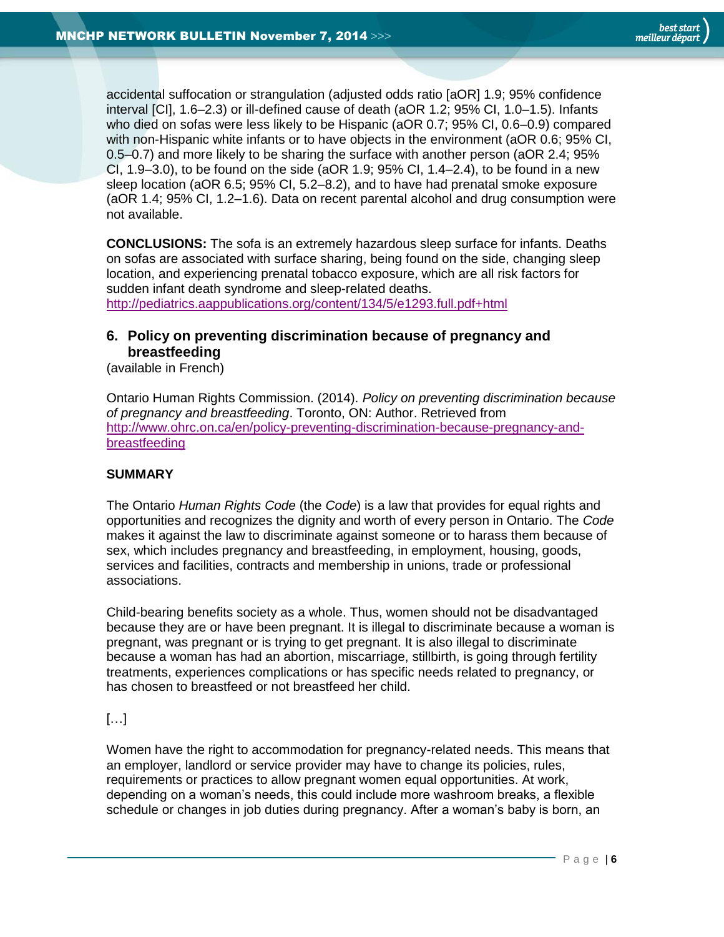accidental suffocation or strangulation (adjusted odds ratio [aOR] 1.9; 95% confidence interval [CI], 1.6–2.3) or ill-defined cause of death (aOR 1.2; 95% CI, 1.0–1.5). Infants who died on sofas were less likely to be Hispanic (aOR 0.7; 95% CI, 0.6–0.9) compared with non-Hispanic white infants or to have objects in the environment (aOR 0.6; 95% CI, 0.5–0.7) and more likely to be sharing the surface with another person (aOR 2.4; 95% CI,  $1.9-3.0$ ), to be found on the side (aOR  $1.9$ ;  $95\%$  CI,  $1.4-2.4$ ), to be found in a new sleep location (aOR 6.5; 95% CI, 5.2–8.2), and to have had prenatal smoke exposure (aOR 1.4; 95% CI, 1.2–1.6). Data on recent parental alcohol and drug consumption were not available.

**CONCLUSIONS:** The sofa is an extremely hazardous sleep surface for infants. Deaths on sofas are associated with surface sharing, being found on the side, changing sleep location, and experiencing prenatal tobacco exposure, which are all risk factors for sudden infant death syndrome and sleep-related deaths.

<http://pediatrics.aappublications.org/content/134/5/e1293.full.pdf+html>

# <span id="page-5-0"></span>**6. Policy on preventing discrimination because of pregnancy and breastfeeding**

(available in French)

Ontario Human Rights Commission. (2014). *Policy on preventing discrimination because of pregnancy and breastfeeding*. Toronto, ON: Author. Retrieved from [http://www.ohrc.on.ca/en/policy-preventing-discrimination-because-pregnancy-and](http://www.ohrc.on.ca/en/policy-preventing-discrimination-because-pregnancy-and-breastfeeding)[breastfeeding](http://www.ohrc.on.ca/en/policy-preventing-discrimination-because-pregnancy-and-breastfeeding)

#### **SUMMARY**

The Ontario *Human Rights Code* (the *Code*) is a law that provides for equal rights and opportunities and recognizes the dignity and worth of every person in Ontario. The *Code* makes it against the law to discriminate against someone or to harass them because of sex, which includes pregnancy and breastfeeding, in employment, housing, goods, services and facilities, contracts and membership in unions, trade or professional associations.

Child-bearing benefits society as a whole. Thus, women should not be disadvantaged because they are or have been pregnant. It is illegal to discriminate because a woman is pregnant, was pregnant or is trying to get pregnant. It is also illegal to discriminate because a woman has had an abortion, miscarriage, stillbirth, is going through fertility treatments, experiences complications or has specific needs related to pregnancy, or has chosen to breastfeed or not breastfeed her child.

#### […]

Women have the right to accommodation for pregnancy-related needs. This means that an employer, landlord or service provider may have to change its policies, rules, requirements or practices to allow pregnant women equal opportunities. At work, depending on a woman's needs, this could include more washroom breaks, a flexible schedule or changes in job duties during pregnancy. After a woman's baby is born, an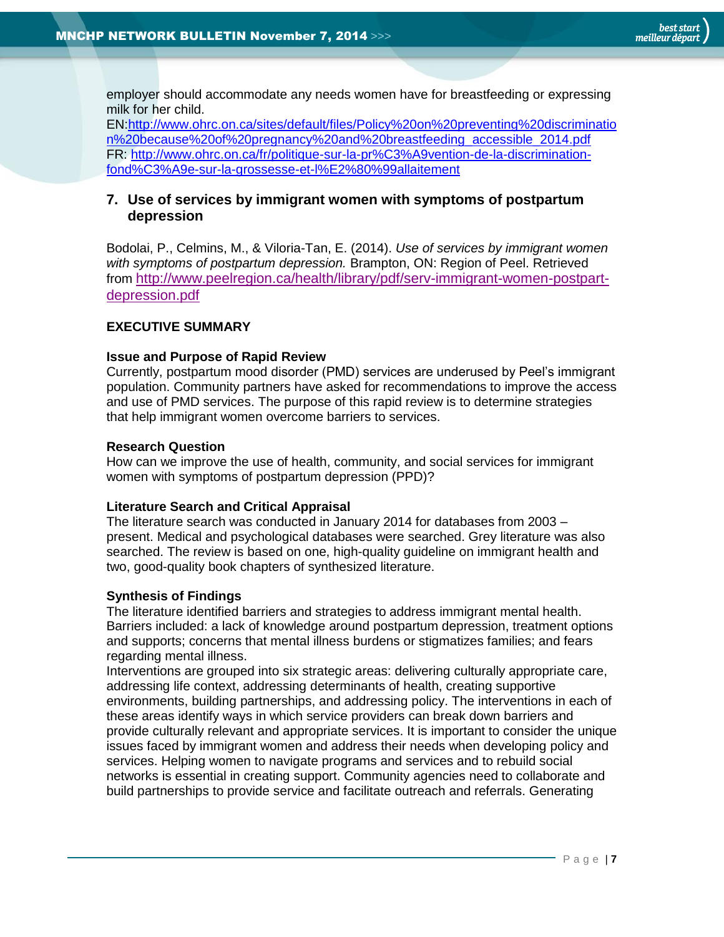employer should accommodate any needs women have for breastfeeding or expressing milk for her child.

EN[:http://www.ohrc.on.ca/sites/default/files/Policy%20on%20preventing%20discriminatio](http://www.ohrc.on.ca/sites/default/files/Policy%20on%20preventing%20discrimination%20because%20of%20pregnancy%20and%20breastfeeding_accessible_2014.pdf) [n%20because%20of%20pregnancy%20and%20breastfeeding\\_accessible\\_2014.pdf](http://www.ohrc.on.ca/sites/default/files/Policy%20on%20preventing%20discrimination%20because%20of%20pregnancy%20and%20breastfeeding_accessible_2014.pdf) FR: [http://www.ohrc.on.ca/fr/politique-sur-la-pr%C3%A9vention-de-la-discrimination](http://www.ohrc.on.ca/fr/politique-sur-la-pr%C3%A9vention-de-la-discrimination-fond%C3%A9e-sur-la-grossesse-et-l%E2%80%99allaitement)[fond%C3%A9e-sur-la-grossesse-et-l%E2%80%99allaitement](http://www.ohrc.on.ca/fr/politique-sur-la-pr%C3%A9vention-de-la-discrimination-fond%C3%A9e-sur-la-grossesse-et-l%E2%80%99allaitement)

#### <span id="page-6-0"></span>**7. Use of services by immigrant women with symptoms of postpartum depression**

Bodolai, P., Celmins, M., & Viloria-Tan, E. (2014). *Use of services by immigrant women with symptoms of postpartum depression.* Brampton, ON: Region of Peel. Retrieved from [http://www.peelregion.ca/health/library/pdf/serv-immigrant-women-postpart](http://www.peelregion.ca/health/library/pdf/serv-immigrant-women-postpart-depression.pdf)[depression.pdf](http://www.peelregion.ca/health/library/pdf/serv-immigrant-women-postpart-depression.pdf)

#### **EXECUTIVE SUMMARY**

#### **Issue and Purpose of Rapid Review**

Currently, postpartum mood disorder (PMD) services are underused by Peel's immigrant population. Community partners have asked for recommendations to improve the access and use of PMD services. The purpose of this rapid review is to determine strategies that help immigrant women overcome barriers to services.

#### **Research Question**

How can we improve the use of health, community, and social services for immigrant women with symptoms of postpartum depression (PPD)?

#### **Literature Search and Critical Appraisal**

The literature search was conducted in January 2014 for databases from 2003 – present. Medical and psychological databases were searched. Grey literature was also searched. The review is based on one, high-quality guideline on immigrant health and two, good-quality book chapters of synthesized literature.

#### **Synthesis of Findings**

The literature identified barriers and strategies to address immigrant mental health. Barriers included: a lack of knowledge around postpartum depression, treatment options and supports; concerns that mental illness burdens or stigmatizes families; and fears regarding mental illness.

Interventions are grouped into six strategic areas: delivering culturally appropriate care, addressing life context, addressing determinants of health, creating supportive environments, building partnerships, and addressing policy. The interventions in each of these areas identify ways in which service providers can break down barriers and provide culturally relevant and appropriate services. It is important to consider the unique issues faced by immigrant women and address their needs when developing policy and services. Helping women to navigate programs and services and to rebuild social networks is essential in creating support. Community agencies need to collaborate and build partnerships to provide service and facilitate outreach and referrals. Generating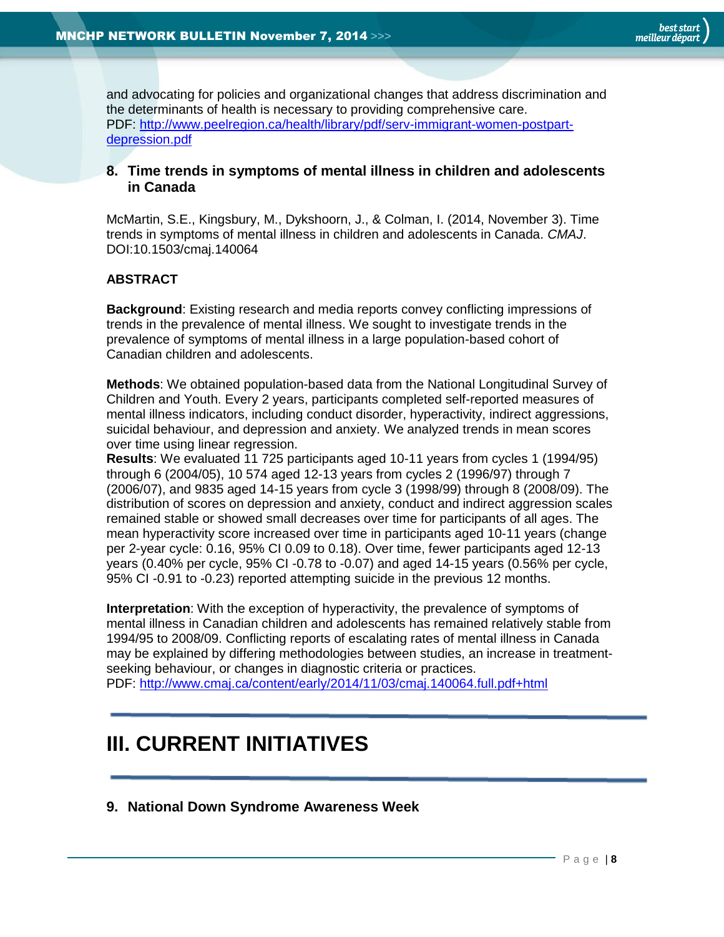and advocating for policies and organizational changes that address discrimination and the determinants of health is necessary to providing comprehensive care. PDF: [http://www.peelregion.ca/health/library/pdf/serv-immigrant-women-postpart](http://www.peelregion.ca/health/library/pdf/serv-immigrant-women-postpart-depression.pdf)[depression.pdf](http://www.peelregion.ca/health/library/pdf/serv-immigrant-women-postpart-depression.pdf)

#### <span id="page-7-0"></span>**8. Time trends in symptoms of mental illness in children and adolescents in Canada**

McMartin, S.E., Kingsbury, M., Dykshoorn, J., & Colman, I. (2014, November 3). Time trends in symptoms of mental illness in children and adolescents in Canada. *CMAJ*. DOI:10.1503/cmaj.140064

#### **ABSTRACT**

**Background**: Existing research and media reports convey conflicting impressions of trends in the prevalence of mental illness. We sought to investigate trends in the prevalence of symptoms of mental illness in a large population-based cohort of Canadian children and adolescents.

**Methods**: We obtained population-based data from the National Longitudinal Survey of Children and Youth. Every 2 years, participants completed self-reported measures of mental illness indicators, including conduct disorder, hyperactivity, indirect aggressions, suicidal behaviour, and depression and anxiety. We analyzed trends in mean scores over time using linear regression.

**Results**: We evaluated 11 725 participants aged 10-11 years from cycles 1 (1994/95) through 6 (2004/05), 10 574 aged 12-13 years from cycles 2 (1996/97) through 7 (2006/07), and 9835 aged 14-15 years from cycle 3 (1998/99) through 8 (2008/09). The distribution of scores on depression and anxiety, conduct and indirect aggression scales remained stable or showed small decreases over time for participants of all ages. The mean hyperactivity score increased over time in participants aged 10-11 years (change per 2-year cycle: 0.16, 95% CI 0.09 to 0.18). Over time, fewer participants aged 12-13 years (0.40% per cycle, 95% CI -0.78 to -0.07) and aged 14-15 years (0.56% per cycle, 95% CI -0.91 to -0.23) reported attempting suicide in the previous 12 months.

**Interpretation**: With the exception of hyperactivity, the prevalence of symptoms of mental illness in Canadian children and adolescents has remained relatively stable from 1994/95 to 2008/09. Conflicting reports of escalating rates of mental illness in Canada may be explained by differing methodologies between studies, an increase in treatmentseeking behaviour, or changes in diagnostic criteria or practices. PDF:<http://www.cmaj.ca/content/early/2014/11/03/cmaj.140064.full.pdf+html>

# <span id="page-7-1"></span>**III. CURRENT INITIATIVES**

<span id="page-7-2"></span>**9. National Down Syndrome Awareness Week**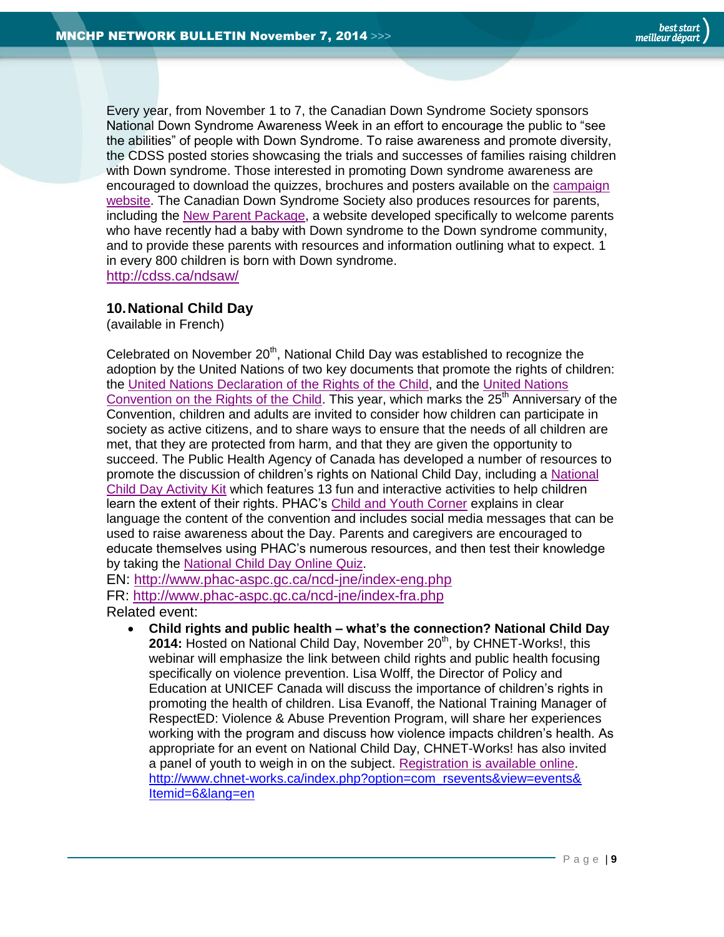Every year, from November 1 to 7, the Canadian Down Syndrome Society sponsors National Down Syndrome Awareness Week in an effort to encourage the public to "see the abilities" of people with Down Syndrome. To raise awareness and promote diversity, the CDSS posted stories showcasing the trials and successes of families raising children with Down syndrome. Those interested in promoting Down syndrome awareness are encouraged to download the quizzes, brochures and posters available on the [campaign](http://cdss.ca/ndsaw/spread-the-word/) [website.](http://cdss.ca/ndsaw/spread-the-word/) The Canadian Down Syndrome Society also produces resources for parents, including the [New Parent Package,](http://cdss.ca/parents/) a website developed specifically to welcome parents who have recently had a baby with Down syndrome to the Down syndrome community, and to provide these parents with resources and information outlining what to expect. 1 in every 800 children is born with Down syndrome. <http://cdss.ca/ndsaw/>

#### <span id="page-8-0"></span>**10.National Child Day**

(available in French)

Celebrated on November  $20<sup>th</sup>$ , National Child Day was established to recognize the adoption by the United Nations of two key documents that promote the rights of children: the [United Nations Declaration of the Rights of the Child,](http://www.unicef.org/lac/spbarbados/Legal/global/General/declaration_child1959.pdf) and the [United Nations](http://www.ohchr.org/en/professionalinterest/pages/crc.aspx)  [Convention on the Rights of the Child.](http://www.ohchr.org/en/professionalinterest/pages/crc.aspx) This year, which marks the  $25<sup>th</sup>$  Anniversary of the Convention, children and adults are invited to consider how children can participate in society as active citizens, and to share ways to ensure that the needs of all children are met, that they are protected from harm, and that they are given the opportunity to succeed. The Public Health Agency of Canada has developed a number of resources to promote the discussion of children's rights on National Child Day, including a [National](http://www.phac-aspc.gc.ca/ncd-jne/kit-eng.php)  [Child Day Activity Kit](http://www.phac-aspc.gc.ca/ncd-jne/kit-eng.php) which features 13 fun and interactive activities to help children learn the extent of their rights. PHAC's [Child and Youth Corner](http://www.phac-aspc.gc.ca/ncd-jne/yc-eng.php) explains in clear language the content of the convention and includes social media messages that can be used to raise awareness about the Day. Parents and caregivers are encouraged to educate themselves using PHAC's numerous resources, and then test their knowledge by taking the [National Child Day Online Quiz.](http://www.phac-aspc.gc.ca/ncd-jne/quiz/ncd-adults-adultes-jne-eng.php)

EN:<http://www.phac-aspc.gc.ca/ncd-jne/index-eng.php>

FR:<http://www.phac-aspc.gc.ca/ncd-jne/index-fra.php> Related event:

 **Child rights and public health – what's the connection? National Child Day 2014:** Hosted on National Child Day, November 20<sup>th</sup>, by CHNET-Works!, this webinar will emphasize the link between child rights and public health focusing specifically on violence prevention. Lisa Wolff, the Director of Policy and Education at UNICEF Canada will discuss the importance of children's rights in promoting the health of children. Lisa Evanoff, the National Training Manager of RespectED: Violence & Abuse Prevention Program, will share her experiences working with the program and discuss how violence impacts children's health. As appropriate for an event on National Child Day, CHNET-Works! has also invited a panel of youth to weigh in on the subject. [Registration is available online.](http://www.chnet-works.ca/index.php?option=com_rsevents&view=events&layout=show&cid=341%3A424-child-rights-and-public-health--whats-the-connection-national-child-day-2014--les-droits-de-lenfant-et-la-sante-publique--quel-rapport-la-journee-nationale-de-lenfant-2014-&Itemid=6&lang=en) [http://www.chnet-works.ca/index.php?option=com\\_rsevents&view=events&](http://www.chnet-works.ca/index.php?option=com_rsevents&view=events&%20Itemid=6&lang=en)  [Itemid=6&lang=en](http://www.chnet-works.ca/index.php?option=com_rsevents&view=events&%20Itemid=6&lang=en)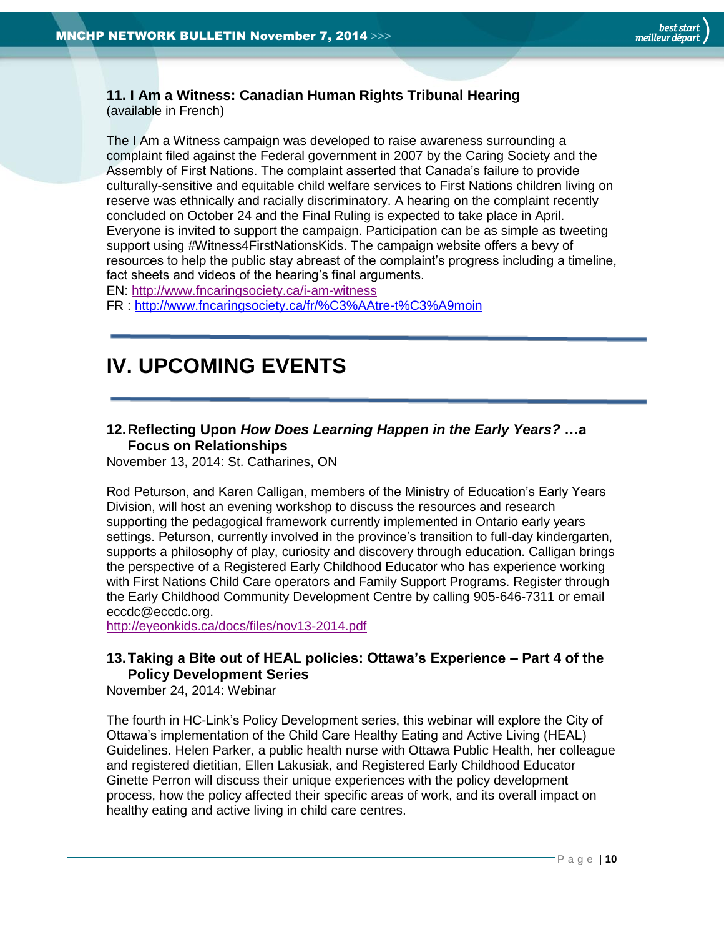#### <span id="page-9-0"></span>**11. I Am a Witness: Canadian Human Rights Tribunal Hearing** (available in French)

The I Am a Witness campaign was developed to raise awareness surrounding a complaint filed against the Federal government in 2007 by the Caring Society and the Assembly of First Nations. The complaint asserted that Canada's failure to provide culturally-sensitive and equitable child welfare services to First Nations children living on reserve was ethnically and racially discriminatory. A hearing on the complaint recently concluded on October 24 and the Final Ruling is expected to take place in April. Everyone is invited to support the campaign. Participation can be as simple as tweeting support using #Witness4FirstNationsKids. The campaign website offers a bevy of resources to help the public stay abreast of the complaint's progress including a timeline, fact sheets and videos of the hearing's final arguments.

EN:<http://www.fncaringsociety.ca/i-am-witness>

<span id="page-9-1"></span>FR :<http://www.fncaringsociety.ca/fr/%C3%AAtre-t%C3%A9moin>

# **IV. UPCOMING EVENTS**

## <span id="page-9-2"></span>**12.Reflecting Upon** *How Does Learning Happen in the Early Years?* **…a Focus on Relationships**

November 13, 2014: St. Catharines, ON

Rod Peturson, and Karen Calligan, members of the Ministry of Education's Early Years Division, will host an evening workshop to discuss the resources and research supporting the pedagogical framework currently implemented in Ontario early years settings. Peturson, currently involved in the province's transition to full-day kindergarten, supports a philosophy of play, curiosity and discovery through education. Calligan brings the perspective of a Registered Early Childhood Educator who has experience working with First Nations Child Care operators and Family Support Programs. Register through the Early Childhood Community Development Centre by calling 905-646-7311 or email eccdc@eccdc.org.

<http://eyeonkids.ca/docs/files/nov13-2014.pdf>

# <span id="page-9-3"></span>**13.Taking a Bite out of HEAL policies: Ottawa's Experience – Part 4 of the Policy Development Series**

November 24, 2014: Webinar

The fourth in HC-Link's Policy Development series, this webinar will explore the City of Ottawa's implementation of the Child Care Healthy Eating and Active Living (HEAL) Guidelines. Helen Parker, a public health nurse with Ottawa Public Health, her colleague and registered dietitian, Ellen Lakusiak, and Registered Early Childhood Educator Ginette Perron will discuss their unique experiences with the policy development process, how the policy affected their specific areas of work, and its overall impact on healthy eating and active living in child care centres.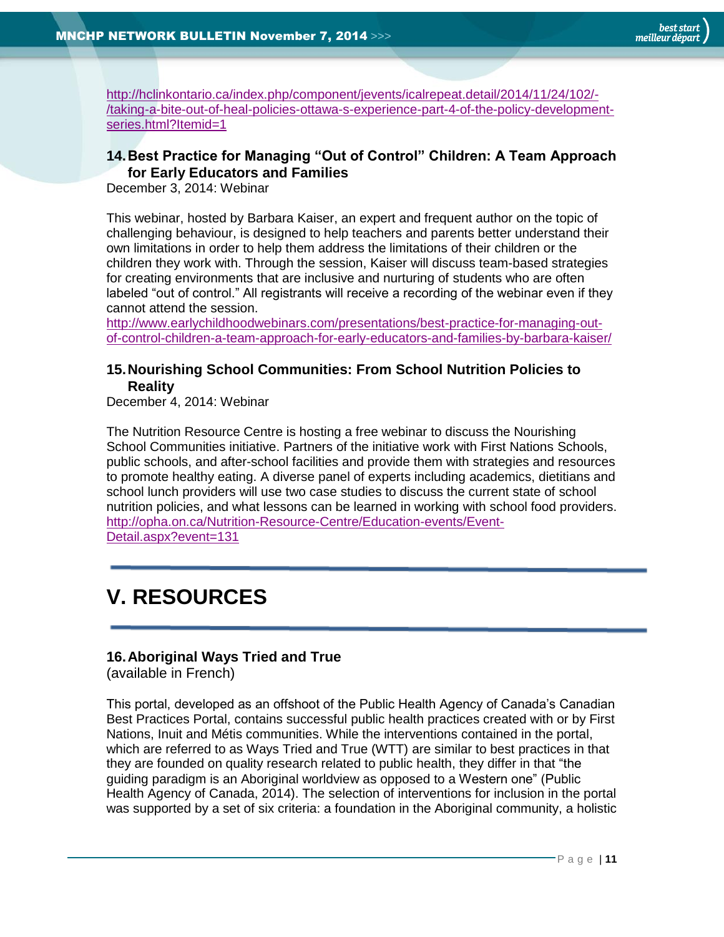[http://hclinkontario.ca/index.php/component/jevents/icalrepeat.detail/2014/11/24/102/-](http://hclinkontario.ca/index.php/component/jevents/icalrepeat.detail/2014/11/24/102/-/taking-a-bite-out-of-heal-policies-ottawa-s-experience-part-4-of-the-policy-development-series.html?Itemid=1) [/taking-a-bite-out-of-heal-policies-ottawa-s-experience-part-4-of-the-policy-development](http://hclinkontario.ca/index.php/component/jevents/icalrepeat.detail/2014/11/24/102/-/taking-a-bite-out-of-heal-policies-ottawa-s-experience-part-4-of-the-policy-development-series.html?Itemid=1)[series.html?Itemid=1](http://hclinkontario.ca/index.php/component/jevents/icalrepeat.detail/2014/11/24/102/-/taking-a-bite-out-of-heal-policies-ottawa-s-experience-part-4-of-the-policy-development-series.html?Itemid=1)

# <span id="page-10-0"></span>**14.Best Practice for Managing "Out of Control" Children: A Team Approach for Early Educators and Families**

December 3, 2014: Webinar

This webinar, hosted by Barbara Kaiser, an expert and frequent author on the topic of challenging behaviour, is designed to help teachers and parents better understand their own limitations in order to help them address the limitations of their children or the children they work with. Through the session, Kaiser will discuss team-based strategies for creating environments that are inclusive and nurturing of students who are often labeled "out of control." All registrants will receive a recording of the webinar even if they cannot attend the session.

[http://www.earlychildhoodwebinars.com/presentations/best-practice-for-managing-out](http://www.earlychildhoodwebinars.com/presentations/best-practice-for-managing-out-of-control-children-a-team-approach-for-early-educators-and-families-by-barbara-kaiser/)[of-control-children-a-team-approach-for-early-educators-and-families-by-barbara-kaiser/](http://www.earlychildhoodwebinars.com/presentations/best-practice-for-managing-out-of-control-children-a-team-approach-for-early-educators-and-families-by-barbara-kaiser/)

## <span id="page-10-1"></span>**15.Nourishing School Communities: From School Nutrition Policies to Reality**

December 4, 2014: Webinar

The Nutrition Resource Centre is hosting a free webinar to discuss the Nourishing School Communities initiative. Partners of the initiative work with First Nations Schools, public schools, and after-school facilities and provide them with strategies and resources to promote healthy eating. A diverse panel of experts including academics, dietitians and school lunch providers will use two case studies to discuss the current state of school nutrition policies, and what lessons can be learned in working with school food providers. [http://opha.on.ca/Nutrition-Resource-Centre/Education-events/Event-](http://opha.on.ca/Nutrition-Resource-Centre/Education-events/Event-Detail.aspx?event=131)[Detail.aspx?event=131](http://opha.on.ca/Nutrition-Resource-Centre/Education-events/Event-Detail.aspx?event=131)

# <span id="page-10-2"></span>**V. RESOURCES**

# <span id="page-10-3"></span>**16.Aboriginal Ways Tried and True**

(available in French)

This portal, developed as an offshoot of the Public Health Agency of Canada's Canadian Best Practices Portal, contains successful public health practices created with or by First Nations, Inuit and Métis communities. While the interventions contained in the portal, which are referred to as Ways Tried and True (WTT) are similar to best practices in that they are founded on quality research related to public health, they differ in that "the guiding paradigm is an Aboriginal worldview as opposed to a Western one" (Public Health Agency of Canada, 2014). The selection of interventions for inclusion in the portal was supported by a set of six criteria: a foundation in the Aboriginal community, a holistic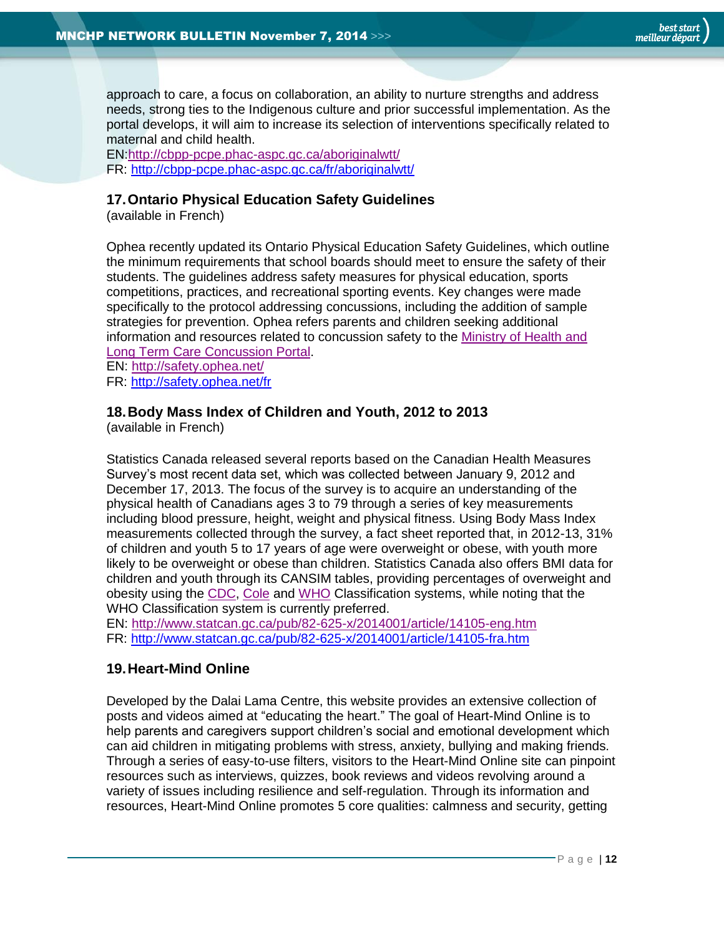approach to care, a focus on collaboration, an ability to nurture strengths and address needs, strong ties to the Indigenous culture and prior successful implementation. As the portal develops, it will aim to increase its selection of interventions specifically related to maternal and child health.

EN[:http://cbpp-pcpe.phac-aspc.gc.ca/aboriginalwtt/](http://cbpp-pcpe.phac-aspc.gc.ca/aboriginalwtt/) FR: http://cbpp-pcpe.phac-aspc.gc.ca/fr/aboriginalwtt/

#### <span id="page-11-0"></span>**17.Ontario Physical Education Safety Guidelines**

(available in French)

Ophea recently updated its Ontario Physical Education Safety Guidelines, which outline the minimum requirements that school boards should meet to ensure the safety of their students. The guidelines address safety measures for physical education, sports competitions, practices, and recreational sporting events. Key changes were made specifically to the protocol addressing concussions, including the addition of sample strategies for prevention. Ophea refers parents and children seeking additional information and resources related to concussion safety to the [Ministry of Health and](http://www.health.gov.on.ca/en/public/programs/concussions/)  Long Term Care [Concussion Portal.](http://www.health.gov.on.ca/en/public/programs/concussions/) EN:<http://safety.ophea.net/>

FR: http://safety.ophea.net/fr

#### <span id="page-11-1"></span>**18.Body Mass Index of Children and Youth, 2012 to 2013**

(available in French)

Statistics Canada released several reports based on the Canadian Health Measures Survey's most recent data set, which was collected between January 9, 2012 and December 17, 2013. The focus of the survey is to acquire an understanding of the physical health of Canadians ages 3 to 79 through a series of key measurements including blood pressure, height, weight and physical fitness. Using Body Mass Index measurements collected through the survey, a fact sheet reported that, in 2012-13, 31% of children and youth 5 to 17 years of age were overweight or obese, with youth more likely to be overweight or obese than children. Statistics Canada also offers BMI data for children and youth through its CANSIM tables, providing percentages of overweight and obesity using the [CDC,](http://www5.statcan.gc.ca/cansim/a26?lang=eng&retrLang=eng&id=1170002&pattern=117-0001..117-0012&tabMode=dataTable&srchLan=-1&p1=-1&p2=31) [Cole](http://www5.statcan.gc.ca/cansim/a26?lang=eng&retrLang=eng&id=1170003&pattern=117-0001..117-0012&tabMode=dataTable&srchLan=-1&p1=-1&p2=31) and [WHO](http://www5.statcan.gc.ca/cansim/a26?lang=eng&retrLang=eng&id=1170004&pattern=117-0001..117-0012&tabMode=dataTable&srchLan=-1&p1=-1&p2=31) Classification systems, while noting that the WHO Classification system is currently preferred.

EN:<http://www.statcan.gc.ca/pub/82-625-x/2014001/article/14105-eng.htm> FR:<http://www.statcan.gc.ca/pub/82-625-x/2014001/article/14105-fra.htm>

#### <span id="page-11-2"></span>**19.Heart-Mind Online**

Developed by the Dalai Lama Centre, this website provides an extensive collection of posts and videos aimed at "educating the heart." The goal of Heart-Mind Online is to help parents and caregivers support children's social and emotional development which can aid children in mitigating problems with stress, anxiety, bullying and making friends. Through a series of easy-to-use filters, visitors to the Heart-Mind Online site can pinpoint resources such as interviews, quizzes, book reviews and videos revolving around a variety of issues including resilience and self-regulation. Through its information and resources, Heart-Mind Online promotes 5 core qualities: calmness and security, getting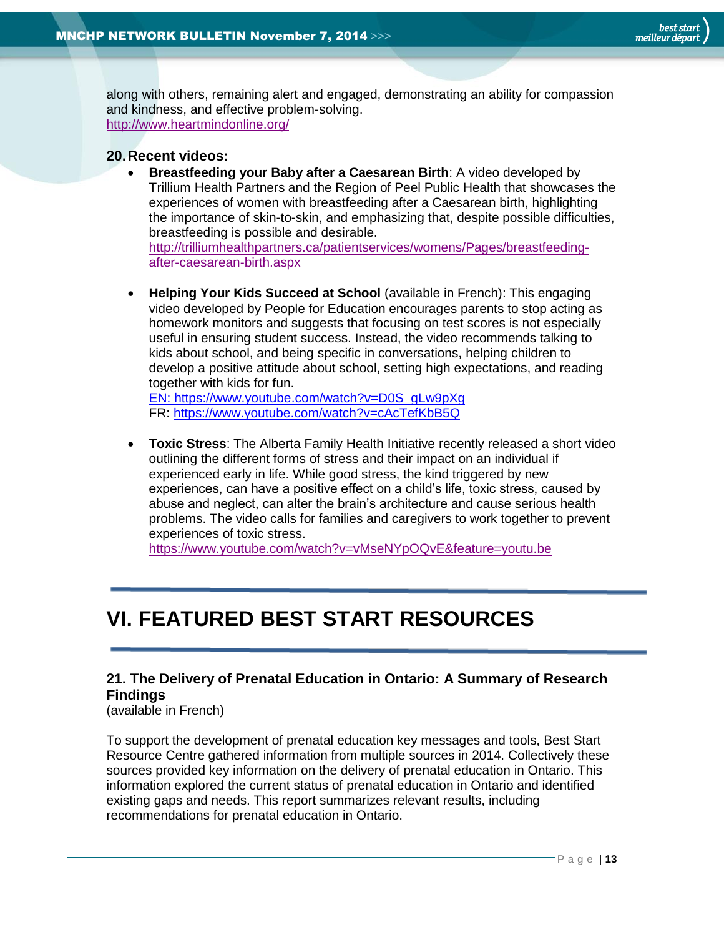along with others, remaining alert and engaged, demonstrating an ability for compassion and kindness, and effective problem-solving. <http://www.heartmindonline.org/>

#### <span id="page-12-0"></span>**20.Recent videos:**

 **Breastfeeding your Baby after a Caesarean Birth**: A video developed by Trillium Health Partners and the Region of Peel Public Health that showcases the experiences of women with breastfeeding after a Caesarean birth, highlighting the importance of skin-to-skin, and emphasizing that, despite possible difficulties, breastfeeding is possible and desirable. [http://trilliumhealthpartners.ca/patientservices/womens/Pages/breastfeeding-](http://trilliumhealthpartners.ca/patientservices/womens/Pages/breastfeeding-after-caesarean-birth.aspx)

[after-caesarean-birth.aspx](http://trilliumhealthpartners.ca/patientservices/womens/Pages/breastfeeding-after-caesarean-birth.aspx)

 **Helping Your Kids Succeed at School** (available in French): This engaging video developed by People for Education encourages parents to stop acting as homework monitors and suggests that focusing on test scores is not especially useful in ensuring student success. Instead, the video recommends talking to kids about school, and being specific in conversations, helping children to develop a positive attitude about school, setting high expectations, and reading together with kids for fun.

[EN: https://www.youtube.com/watch?v=D0S\\_gLw9pXg](en:%20https://www.youtube.com/watch?v=D0S_gLw9pXg) FR: https://www.youtube.com/watch?v=cAcTefKbB5Q

 **Toxic Stress**: The Alberta Family Health Initiative recently released a short video outlining the different forms of stress and their impact on an individual if experienced early in life. While good stress, the kind triggered by new experiences, can have a positive effect on a child's life, toxic stress, caused by abuse and neglect, can alter the brain's architecture and cause serious health problems. The video calls for families and caregivers to work together to prevent experiences of toxic stress.

<https://www.youtube.com/watch?v=vMseNYpOQvE&feature=youtu.be>

# <span id="page-12-1"></span>**VI. FEATURED BEST START RESOURCES**

# <span id="page-12-2"></span>**21. The Delivery of Prenatal Education in Ontario: A Summary of Research Findings**

(available in French)

To support the development of prenatal education key messages and tools, Best Start Resource Centre gathered information from multiple sources in 2014. Collectively these sources provided key information on the delivery of prenatal education in Ontario. This information explored the current status of prenatal education in Ontario and identified existing gaps and needs. This report summarizes relevant results, including recommendations for prenatal education in Ontario.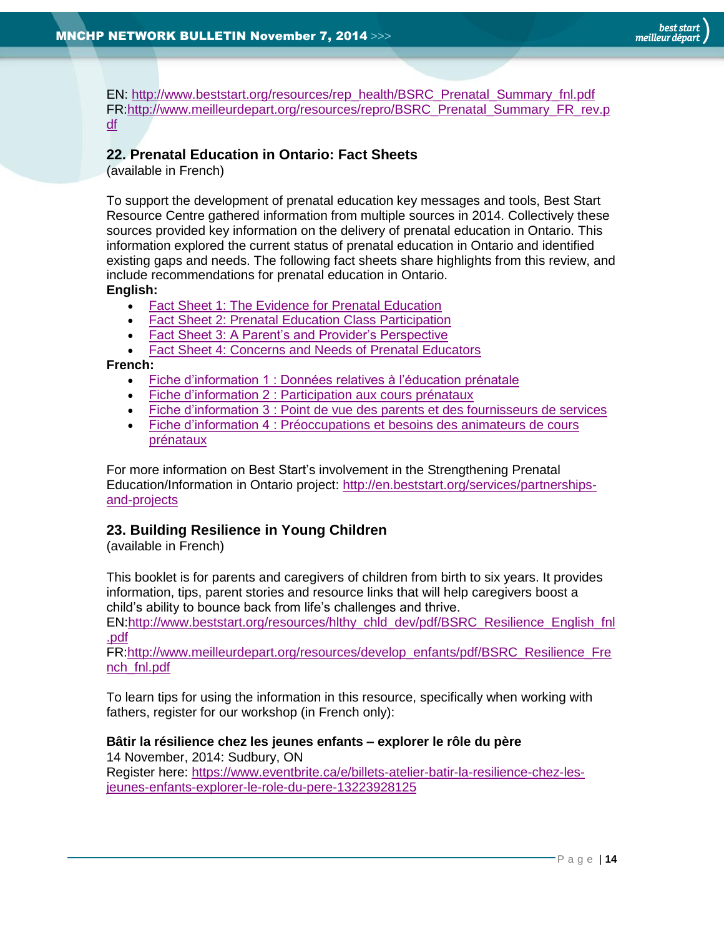EN: [http://www.beststart.org/resources/rep\\_health/BSRC\\_Prenatal\\_Summary\\_fnl.pdf](http://www.beststart.org/resources/rep_health/BSRC_Prenatal_Summary_fnl.pdf) FR[:http://www.meilleurdepart.org/resources/repro/BSRC\\_Prenatal\\_Summary\\_FR\\_rev.p](http://www.meilleurdepart.org/resources/repro/BSRC_Prenatal_Summary_FR_rev.pdf) [df](http://www.meilleurdepart.org/resources/repro/BSRC_Prenatal_Summary_FR_rev.pdf)

## <span id="page-13-0"></span>**22. Prenatal Education in Ontario: Fact Sheets**

(available in French)

To support the development of prenatal education key messages and tools, Best Start Resource Centre gathered information from multiple sources in 2014. Collectively these sources provided key information on the delivery of prenatal education in Ontario. This information explored the current status of prenatal education in Ontario and identified existing gaps and needs. The following fact sheets share highlights from this review, and include recommendations for prenatal education in Ontario.

**English:**

- **[Fact Sheet 1: The Evidence for Prenatal Education](http://www.beststart.org/resources/rep_health/BSRC_Prenatal_Fact_Sheet_1_rev.pdf)**
- [Fact Sheet 2: Prenatal Education Class Participation](http://www.beststart.org/resources/rep_health/BSRC_Prenatal_Fact_Sheet_2_rev.pdf)
- [Fact Sheet 3: A Parent's and Provider's Perspective](http://www.beststart.org/resources/rep_health/BSRC_Prenatal_Fact_Sheet_3_rev.pdf)
- [Fact Sheet 4: Concerns and Needs of Prenatal Educators](http://www.beststart.org/resources/rep_health/BSRC_Prenatal_Fact_Sheet_4_rev.pdf)

**French:**

- [Fiche d'information 1 : Données relatives à l'éducation prénatale](http://www.meilleurdepart.org/resources/repro/BSRC_Prenatal_Fact_Sheet_1_FR.pdf)
- **Fiche d'information 2 [: Participation aux cours prénataux](http://www.meilleurdepart.org/resources/repro/BSRC_Prenatal_Fact_Sheet_2_FR.pdf)**
- Fiche d'information 3 [: Point de vue des parents et des fournisseurs de services](http://www.meilleurdepart.org/resources/repro/BSRC_Prenatal_Fact_Sheet_3_FR.pdf)
- Fiche d'information 4 : Préoccupations et besoins des animateurs de cours [prénataux](http://www.meilleurdepart.org/resources/repro/BSRC_Prenatal_Fact_Sheet_4_FR.pdf)

For more information on Best Start's involvement in the Strengthening Prenatal Education/Information in Ontario project: [http://en.beststart.org/services/partnerships](http://en.beststart.org/services/partnerships-and-projects)[and-projects](http://en.beststart.org/services/partnerships-and-projects)

# <span id="page-13-1"></span>**23. Building Resilience in Young Children**

(available in French)

This booklet is for parents and caregivers of children from birth to six years. It provides information, tips, parent stories and resource links that will help caregivers boost a child's ability to bounce back from life's challenges and thrive.

EN[:http://www.beststart.org/resources/hlthy\\_chld\\_dev/pdf/BSRC\\_Resilience\\_English\\_fnl](http://www.beststart.org/resources/hlthy_chld_dev/pdf/BSRC_Resilience_English_fnl.pdf) [.pdf](http://www.beststart.org/resources/hlthy_chld_dev/pdf/BSRC_Resilience_English_fnl.pdf)

FR[:http://www.meilleurdepart.org/resources/develop\\_enfants/pdf/BSRC\\_Resilience\\_Fre](http://www.meilleurdepart.org/resources/develop_enfants/pdf/BSRC_Resilience_French_fnl.pdf) [nch\\_fnl.pdf](http://www.meilleurdepart.org/resources/develop_enfants/pdf/BSRC_Resilience_French_fnl.pdf)

To learn tips for using the information in this resource, specifically when working with fathers, register for our workshop (in French only):

# **Bâtir la résilience chez les jeunes enfants – explorer le rôle du père**

14 November, 2014: Sudbury, ON Register here: [https://www.eventbrite.ca/e/billets-atelier-batir-la-resilience-chez-les](https://www.eventbrite.ca/e/billets-atelier-batir-la-resilience-chez-les-jeunes-enfants-explorer-le-role-du-pere-13223928125)[jeunes-enfants-explorer-le-role-du-pere-13223928125](https://www.eventbrite.ca/e/billets-atelier-batir-la-resilience-chez-les-jeunes-enfants-explorer-le-role-du-pere-13223928125)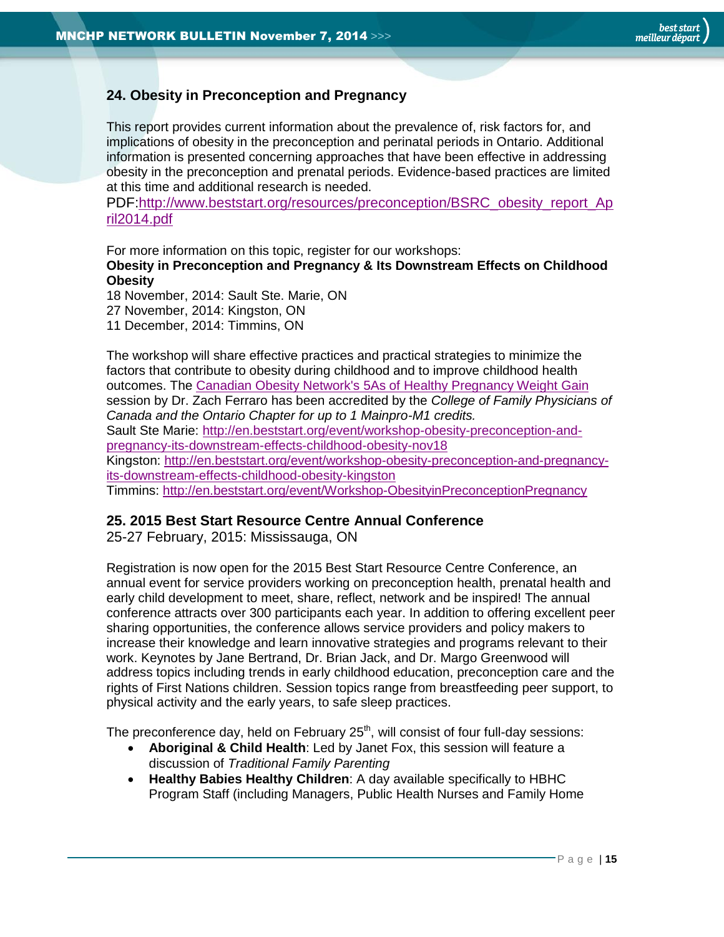# <span id="page-14-0"></span>**24. Obesity in Preconception and Pregnancy**

This report provides current information about the prevalence of, risk factors for, and implications of obesity in the preconception and perinatal periods in Ontario. Additional information is presented concerning approaches that have been effective in addressing obesity in the preconception and prenatal periods. Evidence-based practices are limited at this time and additional research is needed.

PDF[:http://www.beststart.org/resources/preconception/BSRC\\_obesity\\_report\\_Ap](http://www.beststart.org/resources/preconception/BSRC_obesity_report_April2014.pdf) [ril2014.pdf](http://www.beststart.org/resources/preconception/BSRC_obesity_report_April2014.pdf)

For more information on this topic, register for our workshops:

**Obesity in Preconception and Pregnancy & Its Downstream Effects on Childhood Obesity**

18 November, 2014: Sault Ste. Marie, ON 27 November, 2014: Kingston, ON 11 December, 2014: Timmins, ON

The workshop will share effective practices and practical strategies to minimize the factors that contribute to obesity during childhood and to improve childhood health outcomes. The [Canadian Obesity Network's 5As of](http://www.obesitynetwork.ca/pregnancy) Healthy Pregnancy Weight Gain session by Dr. Zach Ferraro has been accredited by the *College of Family Physicians of Canada and the Ontario Chapter for up to 1 Mainpro-M1 credits.* Sault Ste Marie: [http://en.beststart.org/event/workshop-obesity-preconception-and](http://en.beststart.org/event/workshop-obesity-preconception-and-pregnancy-its-downstream-effects-childhood-obesity-nov18)[pregnancy-its-downstream-effects-childhood-obesity-nov18](http://en.beststart.org/event/workshop-obesity-preconception-and-pregnancy-its-downstream-effects-childhood-obesity-nov18) Kingston: [http://en.beststart.org/event/workshop-obesity-preconception-and-pregnancy](http://en.beststart.org/event/workshop-obesity-preconception-and-pregnancy-its-downstream-effects-childhood-obesity-kingston)[its-downstream-effects-childhood-obesity-kingston](http://en.beststart.org/event/workshop-obesity-preconception-and-pregnancy-its-downstream-effects-childhood-obesity-kingston) Timmins:<http://en.beststart.org/event/Workshop-ObesityinPreconceptionPregnancy>

# <span id="page-14-1"></span>**25. 2015 Best Start Resource Centre Annual Conference**

25-27 February, 2015: Mississauga, ON

Registration is now open for the 2015 Best Start Resource Centre Conference, an annual event for service providers working on preconception health, prenatal health and early child development to meet, share, reflect, network and be inspired! The annual conference attracts over 300 participants each year. In addition to offering excellent peer sharing opportunities, the conference allows service providers and policy makers to increase their knowledge and learn innovative strategies and programs relevant to their work. Keynotes by Jane Bertrand, Dr. Brian Jack, and Dr. Margo Greenwood will address topics including trends in early childhood education, preconception care and the rights of First Nations children. Session topics range from breastfeeding peer support, to physical activity and the early years, to safe sleep practices.

The preconference day, held on February 25<sup>th</sup>, will consist of four full-day sessions:

- **Aboriginal & Child Health**: Led by Janet Fox, this session will feature a discussion of *Traditional Family Parenting*
- **Healthy Babies Healthy Children**: A day available specifically to HBHC Program Staff (including Managers, Public Health Nurses and Family Home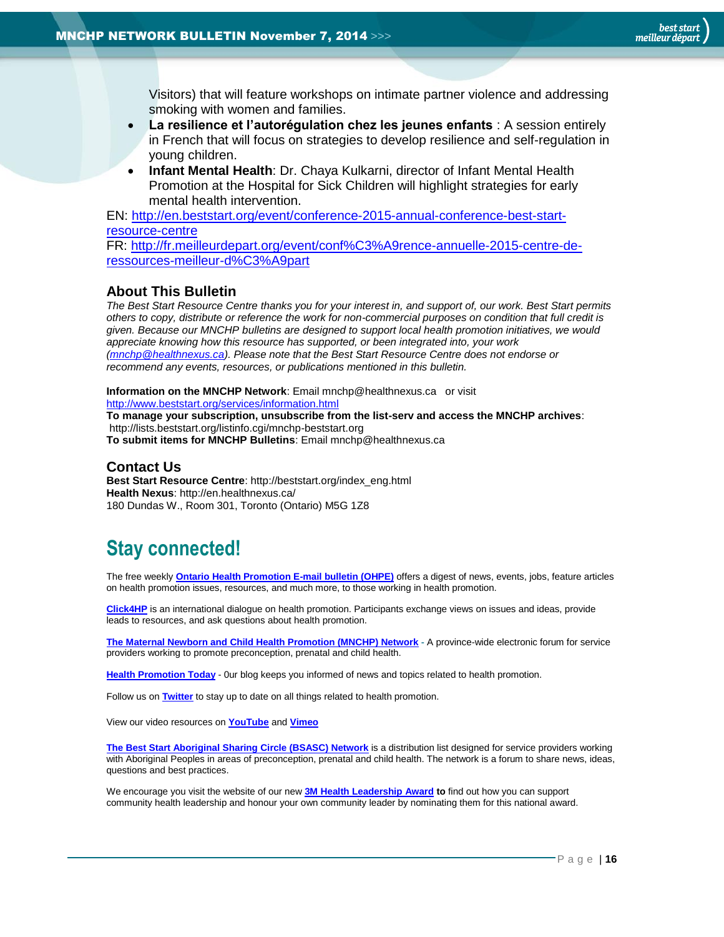Visitors) that will feature workshops on intimate partner violence and addressing smoking with women and families.

- **La resilience et l'autorégulation chez les jeunes enfants** : A session entirely in French that will focus on strategies to develop resilience and self-regulation in young children.
- **Infant Mental Health**: Dr. Chaya Kulkarni, director of Infant Mental Health Promotion at the Hospital for Sick Children will highlight strategies for early mental health intervention.

EN: [http://en.beststart.org/event/conference-2015-annual-conference-best-start](http://en.beststart.org/event/conference-2015-annual-conference-best-start-resource-centre)[resource-centre](http://en.beststart.org/event/conference-2015-annual-conference-best-start-resource-centre)

FR: [http://fr.meilleurdepart.org/event/conf%C3%A9rence-annuelle-2015-centre-de](http://fr.meilleurdepart.org/event/conf%C3%A9rence-annuelle-2015-centre-de-ressources-meilleur-d%C3%A9part)[ressources-meilleur-d%C3%A9part](http://fr.meilleurdepart.org/event/conf%C3%A9rence-annuelle-2015-centre-de-ressources-meilleur-d%C3%A9part)

#### <span id="page-15-0"></span>**About This Bulletin**

*The Best Start Resource Centre thanks you for your interest in, and support of, our work. Best Start permits others to copy, distribute or reference the work for non-commercial purposes on condition that full credit is given. Because our MNCHP bulletins are designed to support local health promotion initiatives, we would appreciate knowing how this resource has supported, or been integrated into, your work [\(mnchp@healthnexus.ca\)](mailto:mnchp@healthnexus.ca). Please note that the Best Start Resource Centre does not endorse or recommend any events, resources, or publications mentioned in this bulletin.* 

#### **Information on the MNCHP Network**: Email mnchp@healthnexus.ca or visit <http://www.beststart.org/services/information.html>

**To manage your subscription, unsubscribe from the list-serv and access the MNCHP archives**: http://lists.beststart.org/listinfo.cgi/mnchp-beststart.org **To submit items for MNCHP Bulletins**: Email mnchp@healthnexus.ca

#### **Contact Us**

**Best Start Resource Centre**: http://beststart.org/index\_eng.html **Health Nexus**: http://en.healthnexus.ca/ 180 Dundas W., Room 301, Toronto (Ontario) M5G 1Z8

# **Stay connected!**

The free weekly **[Ontario Health Promotion E-mail bulletin \(OHPE\)](http://www.ohpe.ca/)** offers a digest of news, events, jobs, feature articles on health promotion issues, resources, and much more, to those working in health promotion.

**[Click4HP](https://listserv.yorku.ca/archives/click4hp.html)** is an international dialogue on health promotion. Participants exchange views on issues and ideas, provide leads to resources, and ask questions about health promotion.

**[The Maternal Newborn and Child Health Promotion \(MNCHP\) Network](http://www.beststart.org/services/MNCHP.html) -** A province-wide electronic forum for service providers working to promote preconception, prenatal and child health.

**[Health Promotion Today](http://en.healthnexus.ca/)** - 0ur blog keeps you informed of news and topics related to health promotion.

Follow us on **[Twitter](https://twitter.com/Health_Nexus)** to stay up to date on all things related to health promotion.

View our video resources on **[YouTube](http://www.youtube.com/user/healthnexussante)** and **[Vimeo](https://vimeo.com/user9493317)**

**[The Best Start Aboriginal Sharing Circle \(BSASC\) Network](http://lists.beststart.org/listinfo.cgi/bsasc-beststart.org)** is a distribution list designed for service providers working with Aboriginal Peoples in areas of preconception, prenatal and child health. The network is a forum to share news, ideas, questions and best practices.

We encourage you visit the website of our new **[3M Health Leadership Award](http://www.healthnexus.ca/leadershipaward) to** find out how you can support community health leadership and honour your own community leader by nominating them for this national award.